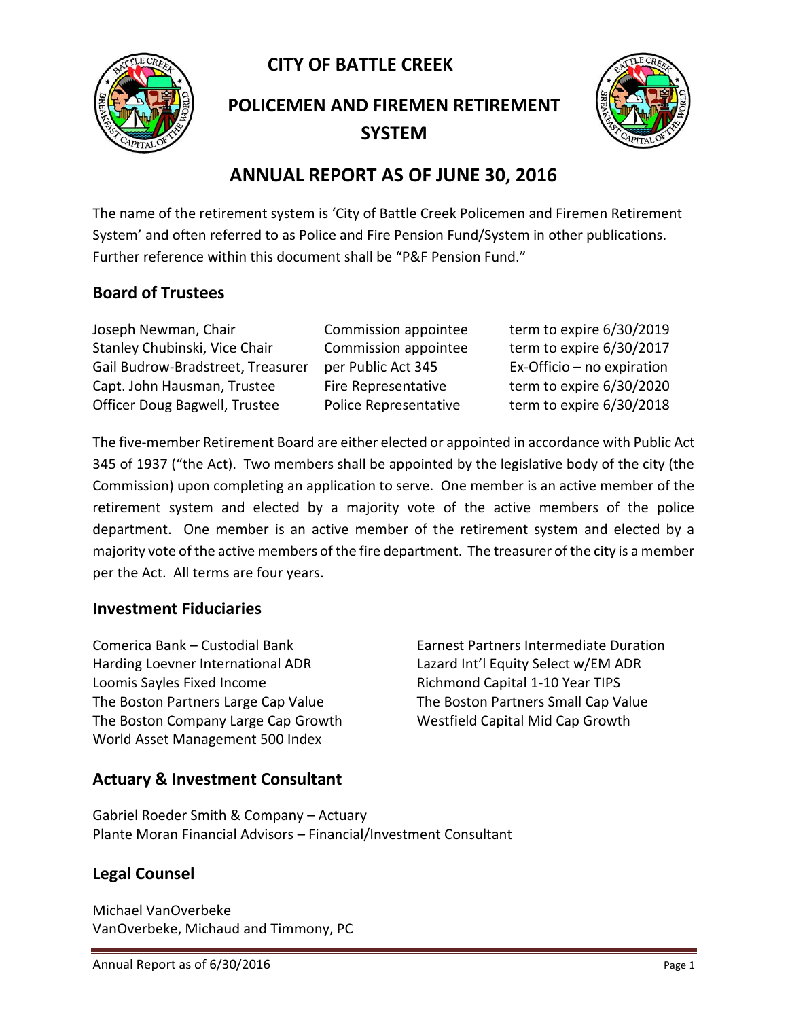**CITY OF BATTLE CREEK** 



**POLICEMEN AND FIREMEN RETIREMENT SYSTEM**



# **ANNUAL REPORT AS OF JUNE 30, 2016**

The name of the retirement system is 'City of Battle Creek Policemen and Firemen Retirement System' and often referred to as Police and Fire Pension Fund/System in other publications. Further reference within this document shall be "P&F Pension Fund."

### **Board of Trustees**

Joseph Newman, Chair Commission appointee term to expire 6/30/2019 Stanley Chubinski, Vice Chair Commission appointee term to expire 6/30/2017 Gail Budrow-Bradstreet, Treasurer per Public Act 345 Ex-Officio – no expiration Capt. John Hausman, Trustee Fire Representative term to expire 6/30/2020 Officer Doug Bagwell, Trustee Police Representative term to expire 6/30/2018

The five-member Retirement Board are either elected or appointed in accordance with Public Act 345 of 1937 ("the Act). Two members shall be appointed by the legislative body of the city (the Commission) upon completing an application to serve. One member is an active member of the retirement system and elected by a majority vote of the active members of the police department. One member is an active member of the retirement system and elected by a majority vote of the active members of the fire department. The treasurer of the city is a member per the Act. All terms are four years.

#### **Investment Fiduciaries**

Comerica Bank – Custodial Bank Earnest Partners Intermediate Duration Harding Loevner International ADR Lazard Int'l Equity Select w/EM ADR Loomis Sayles Fixed Income The Richmond Capital 1-10 Year TIPS The Boston Partners Large Cap Value The Boston Partners Small Cap Value The Boston Company Large Cap Growth Westfield Capital Mid Cap Growth World Asset Management 500 Index

#### **Actuary & Investment Consultant**

Gabriel Roeder Smith & Company – Actuary Plante Moran Financial Advisors – Financial/Investment Consultant

## **Legal Counsel**

Michael VanOverbeke VanOverbeke, Michaud and Timmony, PC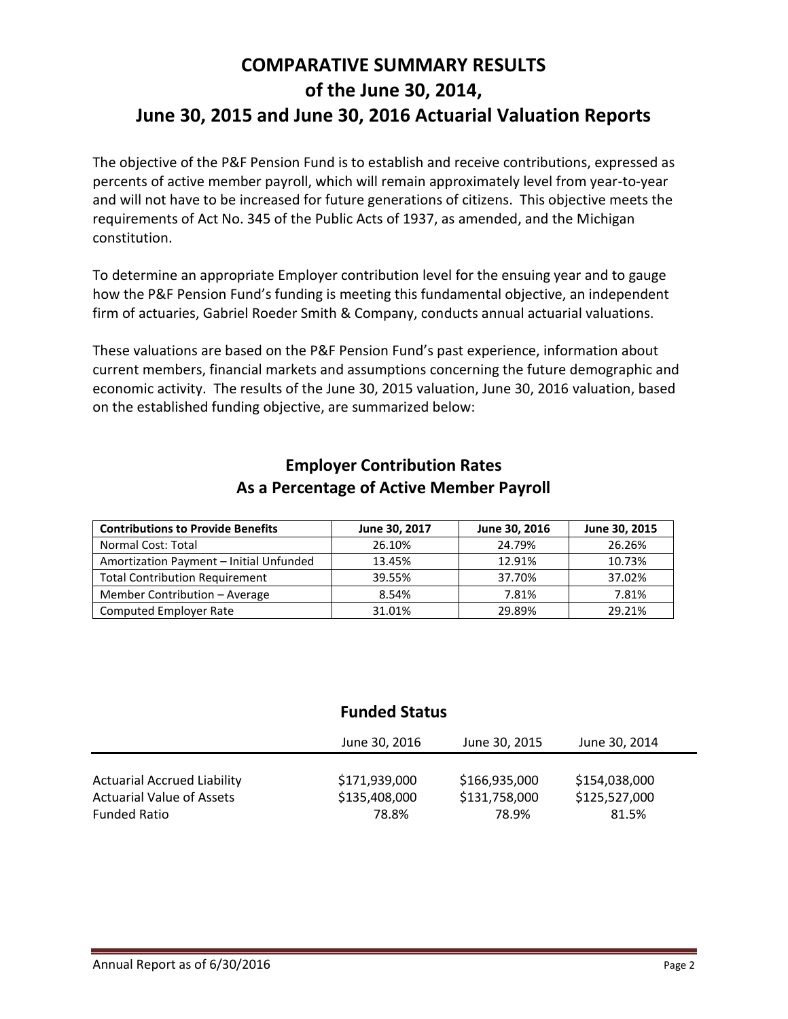# **COMPARATIVE SUMMARY RESULTS of the June 30, 2014, June 30, 2015 and June 30, 2016 Actuarial Valuation Reports**

The objective of the P&F Pension Fund is to establish and receive contributions, expressed as percents of active member payroll, which will remain approximately level from year-to-year and will not have to be increased for future generations of citizens. This objective meets the requirements of Act No. 345 of the Public Acts of 1937, as amended, and the Michigan constitution.

To determine an appropriate Employer contribution level for the ensuing year and to gauge how the P&F Pension Fund's funding is meeting this fundamental objective, an independent firm of actuaries, Gabriel Roeder Smith & Company, conducts annual actuarial valuations.

These valuations are based on the P&F Pension Fund's past experience, information about current members, financial markets and assumptions concerning the future demographic and economic activity. The results of the June 30, 2015 valuation, June 30, 2016 valuation, based on the established funding objective, are summarized below:

| <b>Contributions to Provide Benefits</b> | June 30, 2017 | June 30, 2016 | June 30, 2015 |
|------------------------------------------|---------------|---------------|---------------|
| <b>Normal Cost: Total</b>                | 26.10%        | 24.79%        | 26.26%        |
| Amortization Payment - Initial Unfunded  | 13.45%        | 12.91%        | 10.73%        |
| <b>Total Contribution Requirement</b>    | 39.55%        | 37.70%        | 37.02%        |
| Member Contribution - Average            | 8.54%         | 7.81%         | 7.81%         |
| <b>Computed Employer Rate</b>            | 31.01%        | 29.89%        | 29.21%        |

#### **Employer Contribution Rates As a Percentage of Active Member Payroll**

## **Funded Status**

|                                    | June 30, 2016 | June 30, 2015 | June 30, 2014 |  |
|------------------------------------|---------------|---------------|---------------|--|
| <b>Actuarial Accrued Liability</b> | \$171,939,000 | \$166,935,000 | \$154,038,000 |  |
| <b>Actuarial Value of Assets</b>   | \$135,408,000 | \$131,758,000 | \$125,527,000 |  |
| <b>Funded Ratio</b>                | 78.8%         | 78.9%         | 81.5%         |  |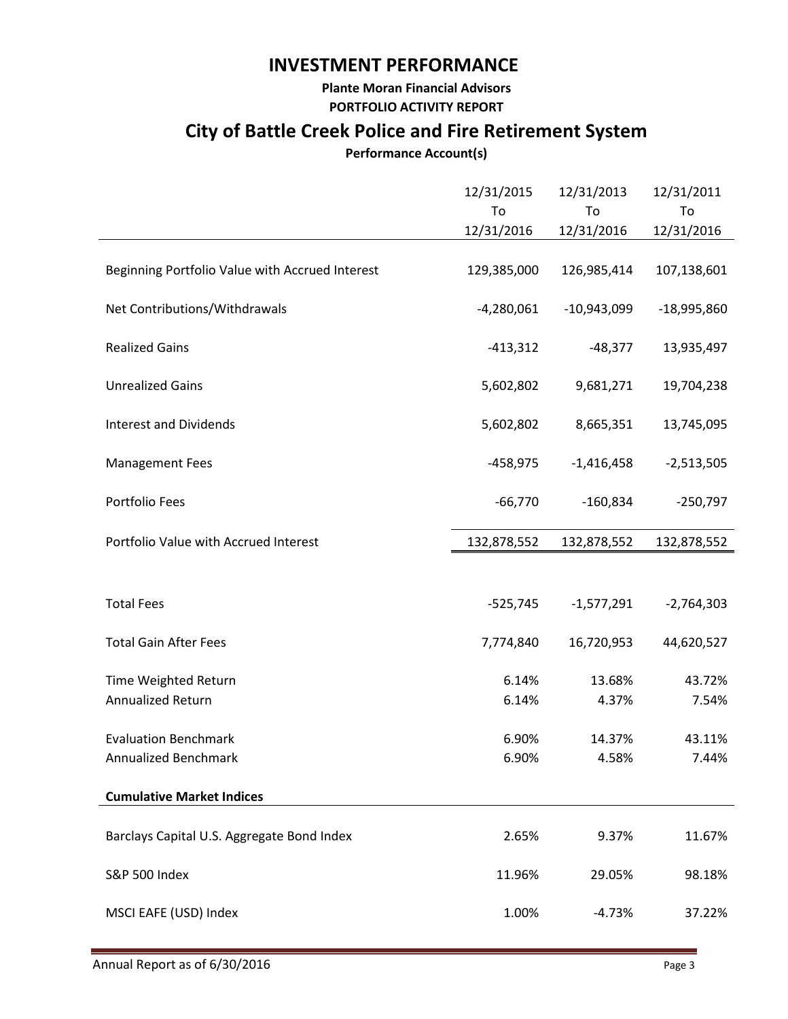## **INVESTMENT PERFORMANCE**

**Plante Moran Financial Advisors PORTFOLIO ACTIVITY REPORT**

# **City of Battle Creek Police and Fire Retirement System**

#### **Performance Account(s)**

|                                                 | 12/31/2015<br>To<br>12/31/2016 | 12/31/2013<br>To<br>12/31/2016 | 12/31/2011<br>To<br>12/31/2016 |
|-------------------------------------------------|--------------------------------|--------------------------------|--------------------------------|
| Beginning Portfolio Value with Accrued Interest | 129,385,000                    | 126,985,414                    | 107,138,601                    |
| Net Contributions/Withdrawals                   | $-4,280,061$                   | $-10,943,099$                  | $-18,995,860$                  |
| <b>Realized Gains</b>                           | $-413,312$                     | $-48,377$                      | 13,935,497                     |
| <b>Unrealized Gains</b>                         | 5,602,802                      | 9,681,271                      | 19,704,238                     |
| <b>Interest and Dividends</b>                   | 5,602,802                      | 8,665,351                      | 13,745,095                     |
| <b>Management Fees</b>                          | $-458,975$                     | $-1,416,458$                   | $-2,513,505$                   |
| Portfolio Fees                                  | $-66,770$                      | $-160,834$                     | $-250,797$                     |
| Portfolio Value with Accrued Interest           | 132,878,552                    | 132,878,552                    | 132,878,552                    |
| <b>Total Fees</b>                               | $-525,745$                     | $-1,577,291$                   | $-2,764,303$                   |
| <b>Total Gain After Fees</b>                    | 7,774,840                      | 16,720,953                     | 44,620,527                     |
| Time Weighted Return<br>Annualized Return       | 6.14%<br>6.14%                 | 13.68%<br>4.37%                | 43.72%<br>7.54%                |
| <b>Evaluation Benchmark</b>                     | 6.90%                          | 14.37%                         | 43.11%                         |
| Annualized Benchmark                            | 6.90%                          | 4.58%                          | 7.44%                          |
| <b>Cumulative Market Indices</b>                |                                |                                |                                |
| Barclays Capital U.S. Aggregate Bond Index      | 2.65%                          | 9.37%                          | 11.67%                         |
| <b>S&amp;P 500 Index</b>                        | 11.96%                         | 29.05%                         | 98.18%                         |
| MSCI EAFE (USD) Index                           | 1.00%                          | $-4.73%$                       | 37.22%                         |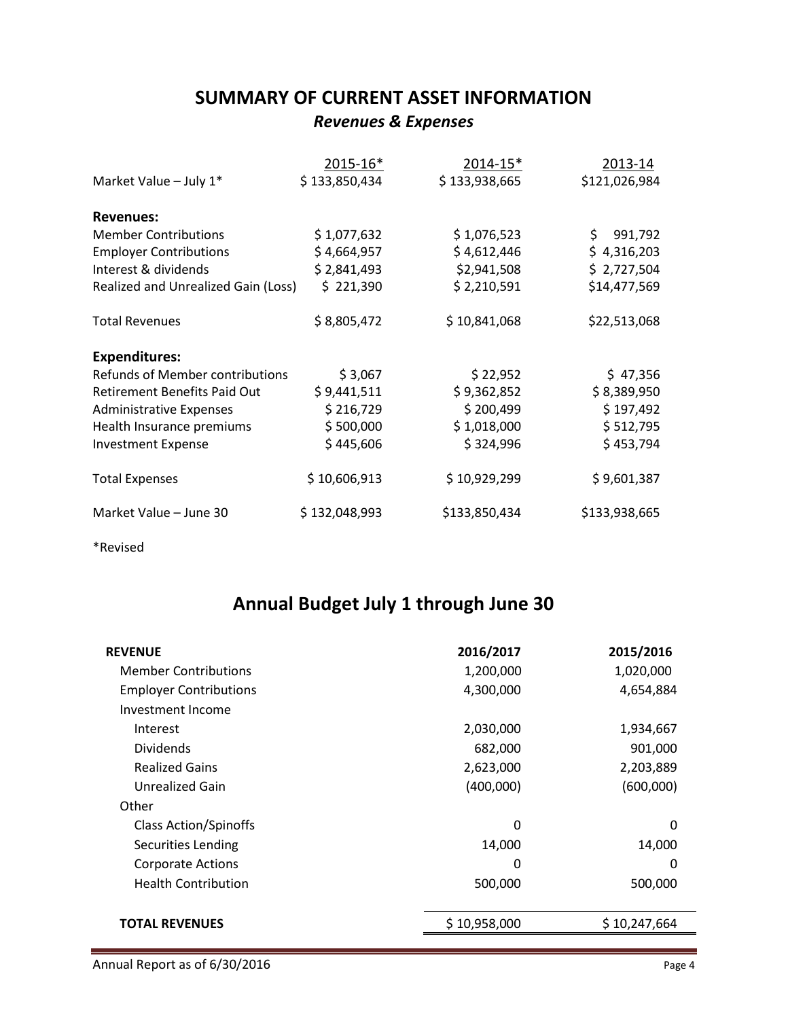## **SUMMARY OF CURRENT ASSET INFORMATION** *Revenues & Expenses*

|                                        | 2015-16*      | 2014-15*      | 2013-14        |
|----------------------------------------|---------------|---------------|----------------|
| Market Value - July 1*                 | \$133,850,434 | \$133,938,665 | \$121,026,984  |
| <b>Revenues:</b>                       |               |               |                |
| <b>Member Contributions</b>            | \$1,077,632   | \$1,076,523   | 991,792<br>\$. |
| <b>Employer Contributions</b>          | \$4,664,957   | \$4,612,446   | \$4,316,203    |
| Interest & dividends                   | \$2,841,493   | \$2,941,508   | \$2,727,504    |
| Realized and Unrealized Gain (Loss)    | \$221,390     | \$2,210,591   | \$14,477,569   |
| <b>Total Revenues</b>                  | \$8,805,472   | \$10,841,068  | \$22,513,068   |
| <b>Expenditures:</b>                   |               |               |                |
| <b>Refunds of Member contributions</b> | \$3,067       | \$22,952      | \$47,356       |
| <b>Retirement Benefits Paid Out</b>    | \$9,441,511   | \$9,362,852   | \$8,389,950    |
| <b>Administrative Expenses</b>         | \$216,729     | \$200,499     | \$197,492      |
| Health Insurance premiums              | \$500,000     | \$1,018,000   | \$512,795      |
| <b>Investment Expense</b>              | \$445,606     | \$324,996     | \$453,794      |
| <b>Total Expenses</b>                  | \$10,606,913  | \$10,929,299  | \$9,601,387    |
| Market Value - June 30                 | \$132,048,993 | \$133,850,434 | \$133,938,665  |
|                                        |               |               |                |

\*Revised

# **Annual Budget July 1 through June 30**

| <b>REVENUE</b>                | 2016/2017    | 2015/2016    |
|-------------------------------|--------------|--------------|
| <b>Member Contributions</b>   | 1,200,000    | 1,020,000    |
| <b>Employer Contributions</b> | 4,300,000    | 4,654,884    |
| Investment Income             |              |              |
| Interest                      | 2,030,000    | 1,934,667    |
| <b>Dividends</b>              | 682,000      | 901,000      |
| <b>Realized Gains</b>         | 2,623,000    | 2,203,889    |
| Unrealized Gain               | (400,000)    | (600,000)    |
| Other                         |              |              |
| <b>Class Action/Spinoffs</b>  | 0            | 0            |
| Securities Lending            | 14,000       | 14,000       |
| <b>Corporate Actions</b>      | 0            | 0            |
| <b>Health Contribution</b>    | 500,000      | 500,000      |
|                               |              |              |
| <b>TOTAL REVENUES</b>         | \$10,958,000 | \$10,247,664 |
|                               |              |              |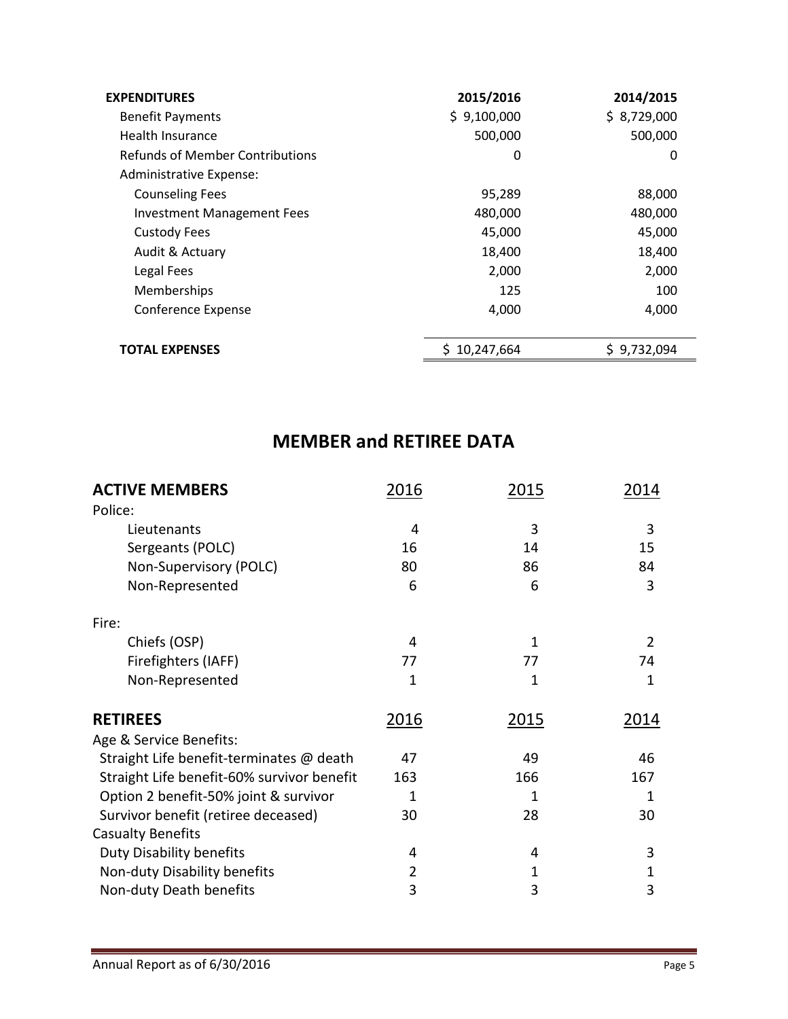| <b>EXPENDITURES</b>               | 2015/2016    | 2014/2015   |
|-----------------------------------|--------------|-------------|
| <b>Benefit Payments</b>           | \$9,100,000  | \$8,729,000 |
| Health Insurance                  | 500,000      | 500,000     |
| Refunds of Member Contributions   | 0            | 0           |
| Administrative Expense:           |              |             |
| <b>Counseling Fees</b>            | 95,289       | 88,000      |
| <b>Investment Management Fees</b> | 480,000      | 480,000     |
| <b>Custody Fees</b>               | 45,000       | 45,000      |
| Audit & Actuary                   | 18,400       | 18,400      |
| Legal Fees                        | 2,000        | 2,000       |
| Memberships                       | 125          | 100         |
| Conference Expense                | 4,000        | 4,000       |
| <b>TOTAL EXPENSES</b>             | \$10,247,664 | \$9,732,094 |

# **MEMBER and RETIREE DATA**

| <b>ACTIVE MEMBERS</b>                      | 2016 | 2015 | 2014 |
|--------------------------------------------|------|------|------|
| Police:                                    |      |      |      |
| Lieutenants                                | 4    | 3    | 3    |
| Sergeants (POLC)                           | 16   | 14   | 15   |
| Non-Supervisory (POLC)                     | 80   | 86   | 84   |
| Non-Represented                            | 6    | 6    | 3    |
| Fire:                                      |      |      |      |
| Chiefs (OSP)                               | 4    | 1    | 2    |
| Firefighters (IAFF)                        | 77   | 77   | 74   |
| Non-Represented                            | 1    | 1    | 1    |
| <b>RETIREES</b>                            | 2016 | 2015 | 2014 |
| Age & Service Benefits:                    |      |      |      |
| Straight Life benefit-terminates @ death   | 47   | 49   | 46   |
| Straight Life benefit-60% survivor benefit | 163  | 166  | 167  |
| Option 2 benefit-50% joint & survivor      | 1    | 1    | 1    |
| Survivor benefit (retiree deceased)        | 30   | 28   | 30   |
| <b>Casualty Benefits</b>                   |      |      |      |
| Duty Disability benefits                   | 4    | 4    | 3    |
| Non-duty Disability benefits               | 2    | 1    | 1    |
| Non-duty Death benefits                    | 3    | 3    | 3    |